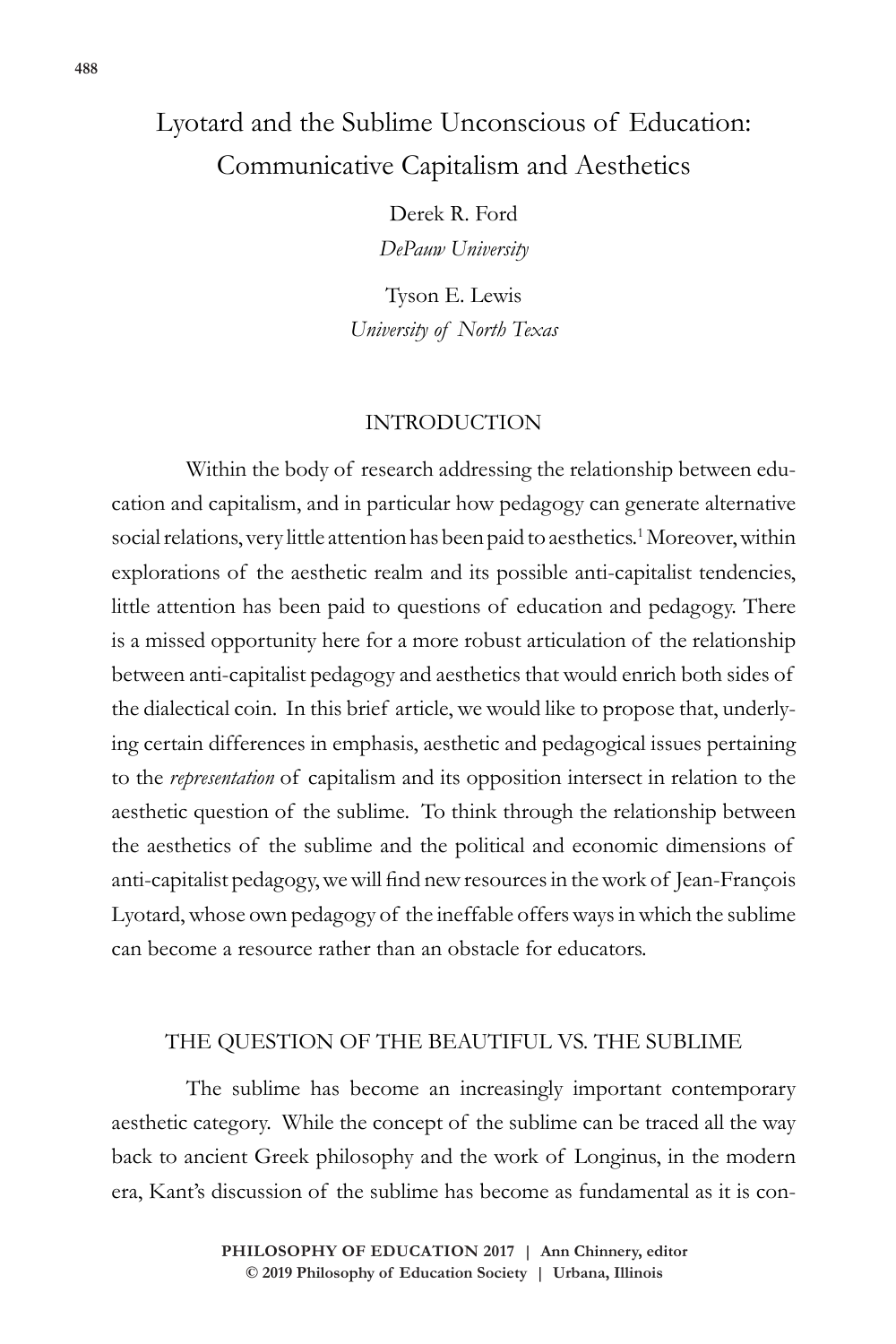# Lyotard and the Sublime Unconscious of Education: Communicative Capitalism and Aesthetics

Derek R. Ford *DePauw University*

Tyson E. Lewis *University of North Texas*

## INTRODUCTION

Within the body of research addressing the relationship between education and capitalism, and in particular how pedagogy can generate alternative social relations, very little attention has been paid to aesthetics.<sup>1</sup> Moreover, within explorations of the aesthetic realm and its possible anti-capitalist tendencies, little attention has been paid to questions of education and pedagogy. There is a missed opportunity here for a more robust articulation of the relationship between anti-capitalist pedagogy and aesthetics that would enrich both sides of the dialectical coin. In this brief article, we would like to propose that, underlying certain differences in emphasis, aesthetic and pedagogical issues pertaining to the *representation* of capitalism and its opposition intersect in relation to the aesthetic question of the sublime. To think through the relationship between the aesthetics of the sublime and the political and economic dimensions of anti-capitalist pedagogy, we will find new resources in the work of Jean-François Lyotard, whose own pedagogy of the ineffable offers ways in which the sublime can become a resource rather than an obstacle for educators.

## THE QUESTION OF THE BEAUTIFUL VS. THE SUBLIME

The sublime has become an increasingly important contemporary aesthetic category. While the concept of the sublime can be traced all the way back to ancient Greek philosophy and the work of Longinus, in the modern era, Kant's discussion of the sublime has become as fundamental as it is con-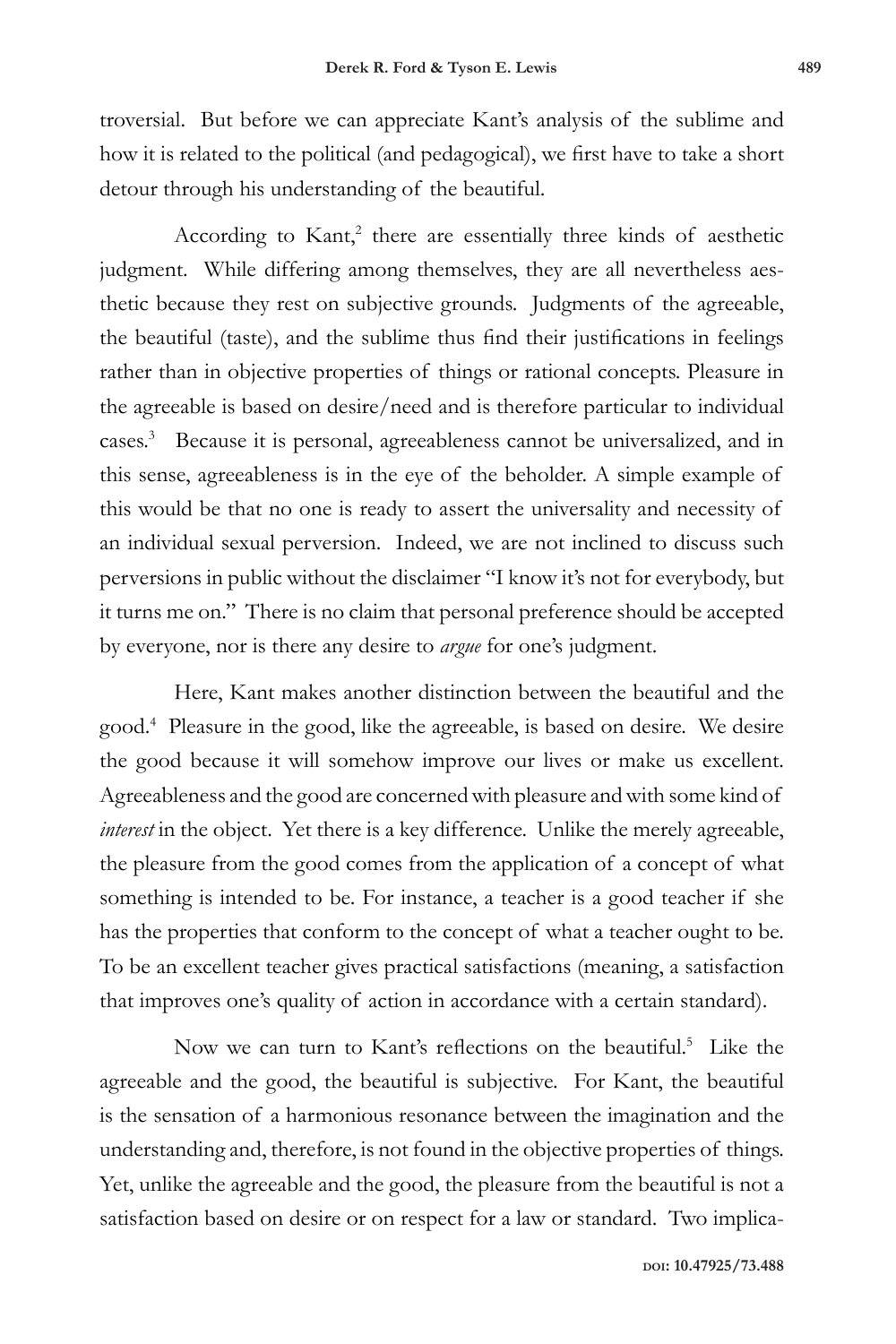troversial. But before we can appreciate Kant's analysis of the sublime and how it is related to the political (and pedagogical), we first have to take a short detour through his understanding of the beautiful.

According to Kant,<sup>2</sup> there are essentially three kinds of aesthetic judgment. While differing among themselves, they are all nevertheless aesthetic because they rest on subjective grounds. Judgments of the agreeable, the beautiful (taste), and the sublime thus find their justifications in feelings rather than in objective properties of things or rational concepts. Pleasure in the agreeable is based on desire/need and is therefore particular to individual cases.3 Because it is personal, agreeableness cannot be universalized, and in this sense, agreeableness is in the eye of the beholder. A simple example of this would be that no one is ready to assert the universality and necessity of an individual sexual perversion. Indeed, we are not inclined to discuss such perversions in public without the disclaimer "I know it's not for everybody, but it turns me on." There is no claim that personal preference should be accepted by everyone, nor is there any desire to *argue* for one's judgment.

Here, Kant makes another distinction between the beautiful and the good.4 Pleasure in the good, like the agreeable, is based on desire. We desire the good because it will somehow improve our lives or make us excellent. Agreeableness and the good are concerned with pleasure and with some kind of *interest* in the object. Yet there is a key difference. Unlike the merely agreeable, the pleasure from the good comes from the application of a concept of what something is intended to be. For instance, a teacher is a good teacher if she has the properties that conform to the concept of what a teacher ought to be. To be an excellent teacher gives practical satisfactions (meaning, a satisfaction that improves one's quality of action in accordance with a certain standard).

Now we can turn to Kant's reflections on the beautiful.<sup>5</sup> Like the agreeable and the good, the beautiful is subjective. For Kant, the beautiful is the sensation of a harmonious resonance between the imagination and the understanding and, therefore, is not found in the objective properties of things. Yet, unlike the agreeable and the good, the pleasure from the beautiful is not a satisfaction based on desire or on respect for a law or standard. Two implica-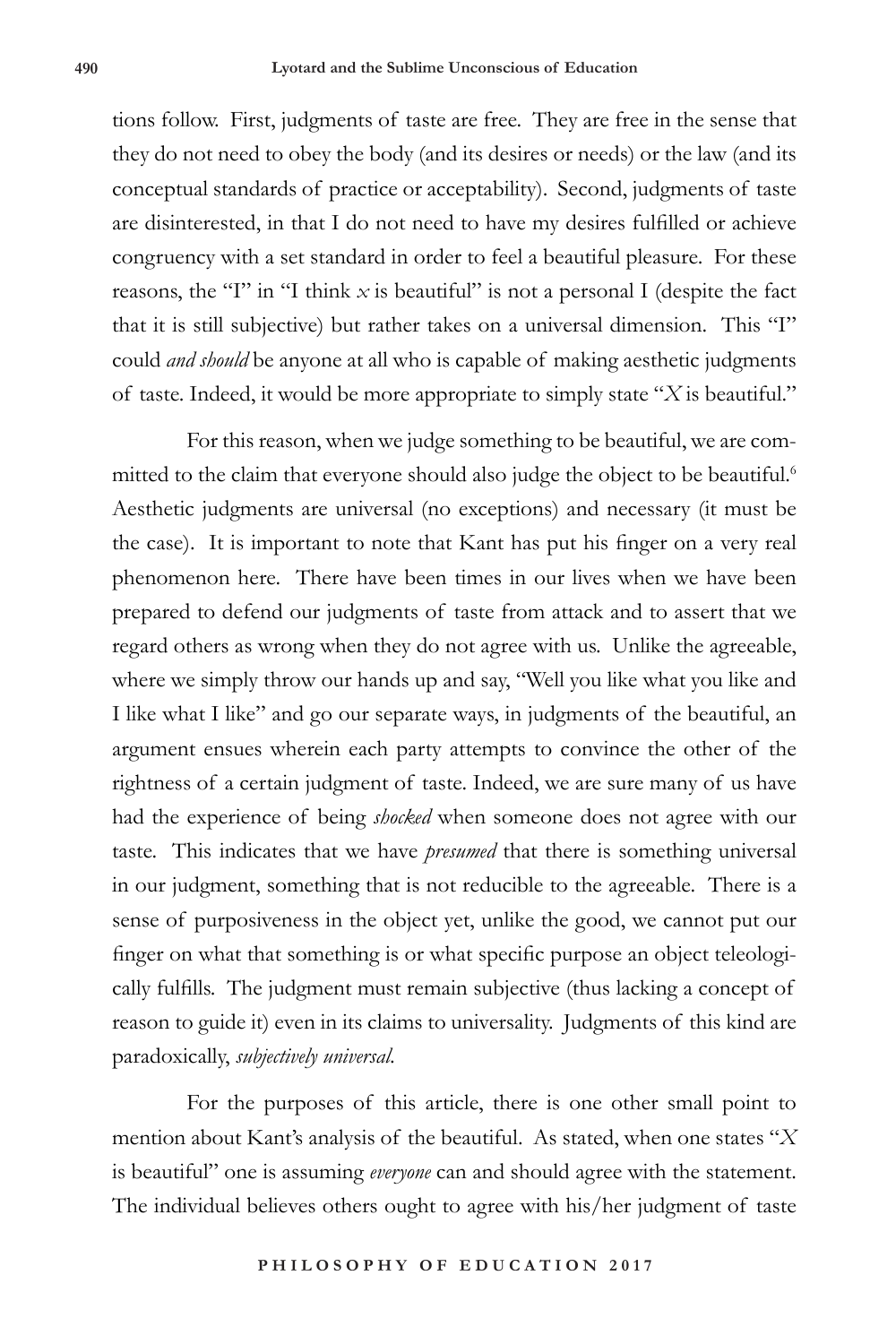tions follow. First, judgments of taste are free. They are free in the sense that they do not need to obey the body (and its desires or needs) or the law (and its conceptual standards of practice or acceptability). Second, judgments of taste are disinterested, in that I do not need to have my desires fulfilled or achieve congruency with a set standard in order to feel a beautiful pleasure. For these reasons, the "I" in "I think  $x$  is beautiful" is not a personal I (despite the fact that it is still subjective) but rather takes on a universal dimension. This "I" could *and should* be anyone at all who is capable of making aesthetic judgments of taste. Indeed, it would be more appropriate to simply state "*X* is beautiful."

For this reason, when we judge something to be beautiful, we are committed to the claim that everyone should also judge the object to be beautiful.<sup>6</sup> Aesthetic judgments are universal (no exceptions) and necessary (it must be the case). It is important to note that Kant has put his finger on a very real phenomenon here. There have been times in our lives when we have been prepared to defend our judgments of taste from attack and to assert that we regard others as wrong when they do not agree with us. Unlike the agreeable, where we simply throw our hands up and say, "Well you like what you like and I like what I like" and go our separate ways, in judgments of the beautiful, an argument ensues wherein each party attempts to convince the other of the rightness of a certain judgment of taste. Indeed, we are sure many of us have had the experience of being *shocked* when someone does not agree with our taste. This indicates that we have *presumed* that there is something universal in our judgment, something that is not reducible to the agreeable. There is a sense of purposiveness in the object yet, unlike the good, we cannot put our finger on what that something is or what specific purpose an object teleologically fulfills. The judgment must remain subjective (thus lacking a concept of reason to guide it) even in its claims to universality. Judgments of this kind are paradoxically, *subjectively universal.* 

For the purposes of this article, there is one other small point to mention about Kant's analysis of the beautiful. As stated, when one states "*X* is beautiful" one is assuming *everyone* can and should agree with the statement. The individual believes others ought to agree with his/her judgment of taste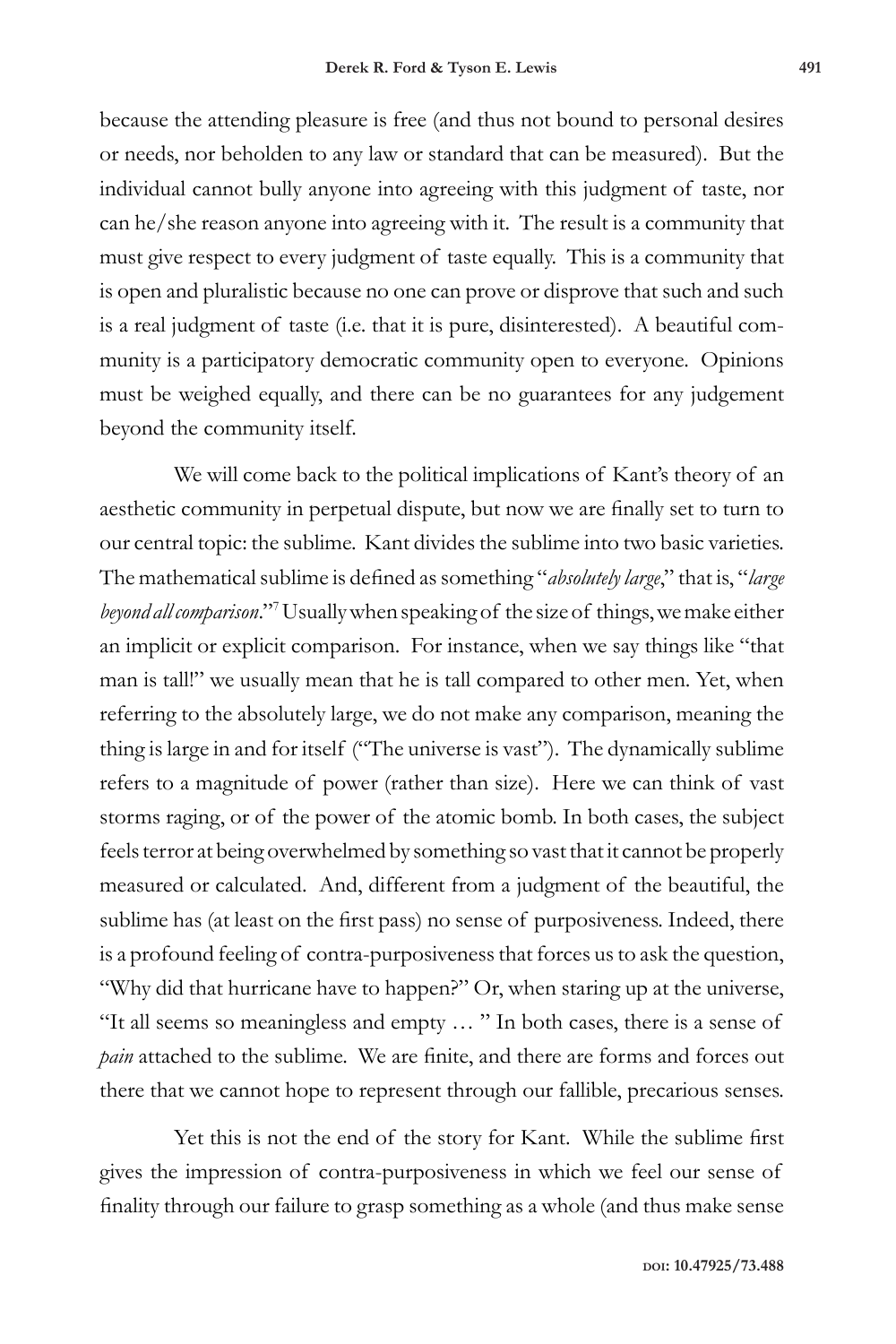because the attending pleasure is free (and thus not bound to personal desires or needs, nor beholden to any law or standard that can be measured). But the individual cannot bully anyone into agreeing with this judgment of taste, nor can he/she reason anyone into agreeing with it. The result is a community that must give respect to every judgment of taste equally. This is a community that is open and pluralistic because no one can prove or disprove that such and such is a real judgment of taste (i.e. that it is pure, disinterested). A beautiful community is a participatory democratic community open to everyone. Opinions must be weighed equally, and there can be no guarantees for any judgement beyond the community itself.

We will come back to the political implications of Kant's theory of an aesthetic community in perpetual dispute, but now we are finally set to turn to our central topic: the sublime. Kant divides the sublime into two basic varieties. The mathematical sublime is defined as something "*absolutely large*," that is, "*large beyond all comparison*."7 Usually when speaking of the size of things, we make either an implicit or explicit comparison. For instance, when we say things like "that man is tall!" we usually mean that he is tall compared to other men. Yet, when referring to the absolutely large, we do not make any comparison, meaning the thing is large in and for itself ("The universe is vast"). The dynamically sublime refers to a magnitude of power (rather than size). Here we can think of vast storms raging, or of the power of the atomic bomb. In both cases, the subject feels terror at being overwhelmed by something so vast that it cannot be properly measured or calculated. And, different from a judgment of the beautiful, the sublime has (at least on the first pass) no sense of purposiveness. Indeed, there is a profound feeling of contra-purposiveness that forces us to ask the question, "Why did that hurricane have to happen?" Or, when staring up at the universe, "It all seems so meaningless and empty … " In both cases, there is a sense of *pain* attached to the sublime. We are finite, and there are forms and forces out there that we cannot hope to represent through our fallible, precarious senses.

Yet this is not the end of the story for Kant. While the sublime first gives the impression of contra-purposiveness in which we feel our sense of finality through our failure to grasp something as a whole (and thus make sense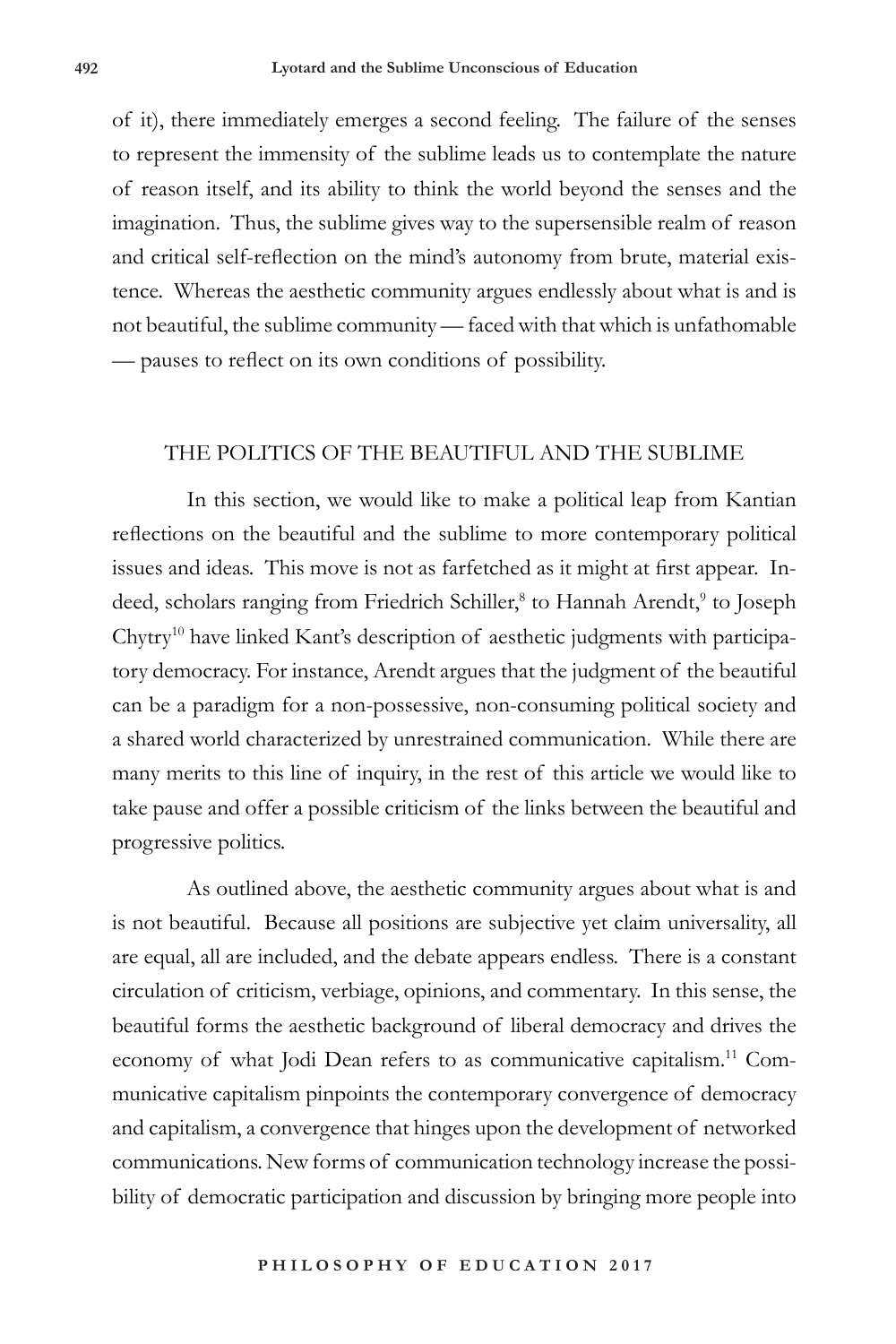of it), there immediately emerges a second feeling. The failure of the senses to represent the immensity of the sublime leads us to contemplate the nature of reason itself, and its ability to think the world beyond the senses and the imagination. Thus, the sublime gives way to the supersensible realm of reason and critical self-reflection on the mind's autonomy from brute, material existence. Whereas the aesthetic community argues endlessly about what is and is not beautiful, the sublime community — faced with that which is unfathomable — pauses to reflect on its own conditions of possibility.

#### THE POLITICS OF THE BEAUTIFUL AND THE SUBLIME

In this section, we would like to make a political leap from Kantian reflections on the beautiful and the sublime to more contemporary political issues and ideas. This move is not as farfetched as it might at first appear. Indeed, scholars ranging from Friedrich Schiller,<sup>8</sup> to Hannah Arendt,<sup>9</sup> to Joseph Chytry10 have linked Kant's description of aesthetic judgments with participatory democracy. For instance, Arendt argues that the judgment of the beautiful can be a paradigm for a non-possessive, non-consuming political society and a shared world characterized by unrestrained communication. While there are many merits to this line of inquiry, in the rest of this article we would like to take pause and offer a possible criticism of the links between the beautiful and progressive politics.

As outlined above, the aesthetic community argues about what is and is not beautiful. Because all positions are subjective yet claim universality, all are equal, all are included, and the debate appears endless. There is a constant circulation of criticism, verbiage, opinions, and commentary. In this sense, the beautiful forms the aesthetic background of liberal democracy and drives the economy of what Jodi Dean refers to as communicative capitalism.11 Communicative capitalism pinpoints the contemporary convergence of democracy and capitalism, a convergence that hinges upon the development of networked communications. New forms of communication technology increase the possibility of democratic participation and discussion by bringing more people into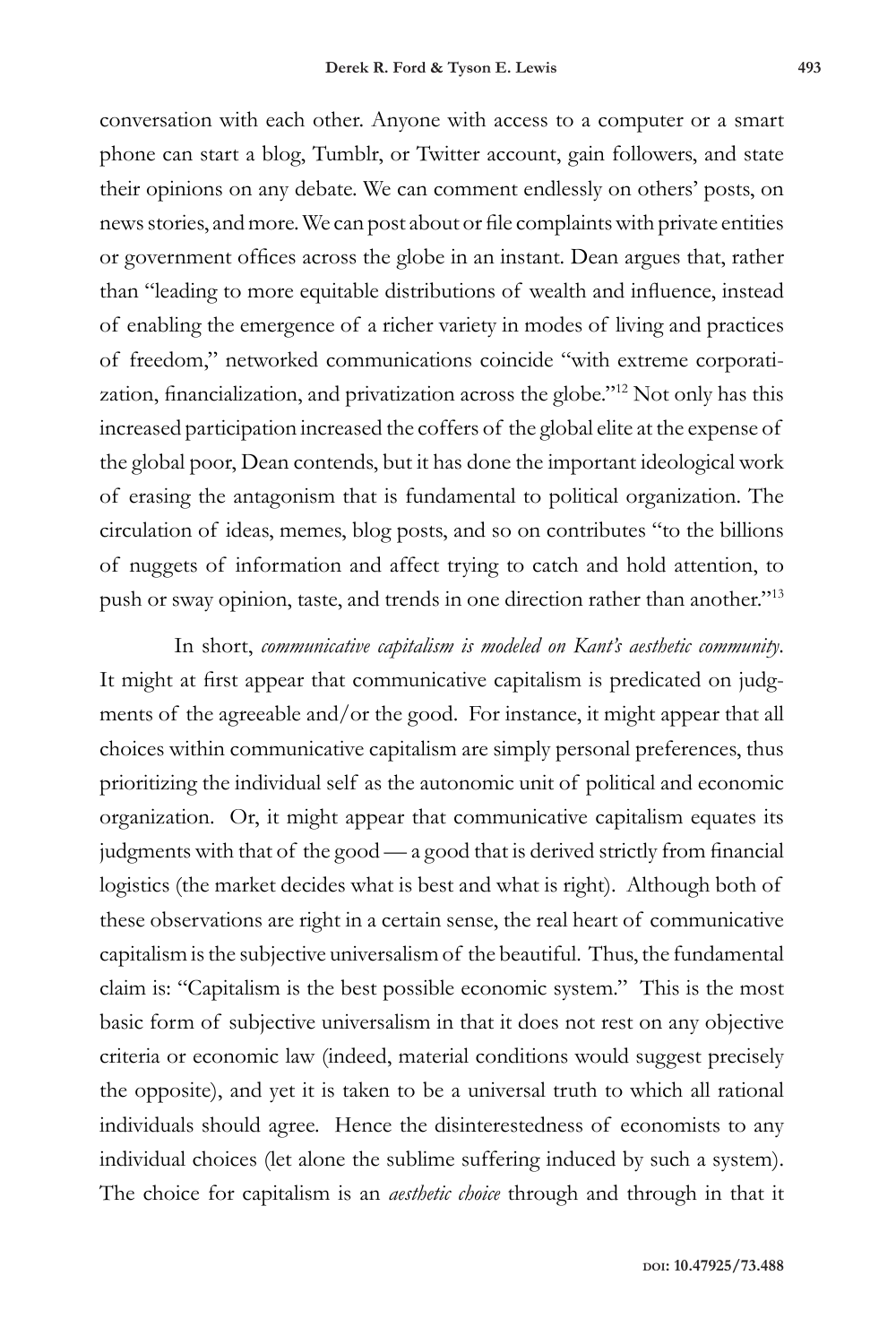conversation with each other. Anyone with access to a computer or a smart phone can start a blog, Tumblr, or Twitter account, gain followers, and state their opinions on any debate. We can comment endlessly on others' posts, on news stories, and more. We can post about or file complaints with private entities or government offices across the globe in an instant. Dean argues that, rather than "leading to more equitable distributions of wealth and influence, instead of enabling the emergence of a richer variety in modes of living and practices of freedom," networked communications coincide "with extreme corporatization, financialization, and privatization across the globe."12 Not only has this increased participation increased the coffers of the global elite at the expense of the global poor, Dean contends, but it has done the important ideological work of erasing the antagonism that is fundamental to political organization. The circulation of ideas, memes, blog posts, and so on contributes "to the billions of nuggets of information and affect trying to catch and hold attention, to push or sway opinion, taste, and trends in one direction rather than another."<sup>13</sup>

In short, *communicative capitalism is modeled on Kant's aesthetic community*. It might at first appear that communicative capitalism is predicated on judgments of the agreeable and/or the good. For instance, it might appear that all choices within communicative capitalism are simply personal preferences, thus prioritizing the individual self as the autonomic unit of political and economic organization. Or, it might appear that communicative capitalism equates its judgments with that of the good — a good that is derived strictly from financial logistics (the market decides what is best and what is right). Although both of these observations are right in a certain sense, the real heart of communicative capitalism is the subjective universalism of the beautiful. Thus, the fundamental claim is: "Capitalism is the best possible economic system." This is the most basic form of subjective universalism in that it does not rest on any objective criteria or economic law (indeed, material conditions would suggest precisely the opposite), and yet it is taken to be a universal truth to which all rational individuals should agree. Hence the disinterestedness of economists to any individual choices (let alone the sublime suffering induced by such a system). The choice for capitalism is an *aesthetic choice* through and through in that it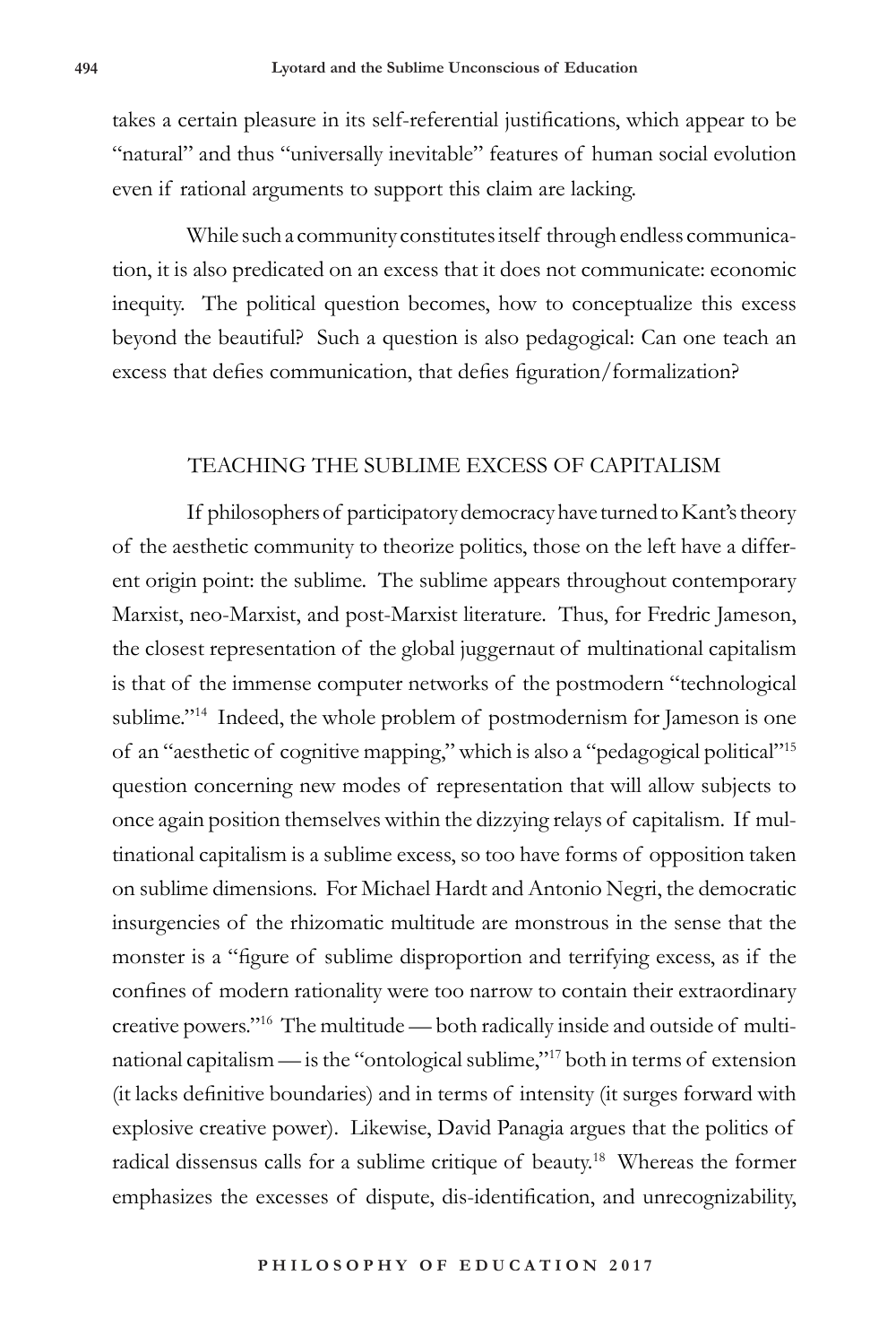takes a certain pleasure in its self-referential justifications, which appear to be "natural" and thus "universally inevitable" features of human social evolution even if rational arguments to support this claim are lacking.

While such a community constitutes itself through endless communication, it is also predicated on an excess that it does not communicate: economic inequity. The political question becomes, how to conceptualize this excess beyond the beautiful? Such a question is also pedagogical: Can one teach an excess that defies communication, that defies figuration/formalization?

#### TEACHING THE SUBLIME EXCESS OF CAPITALISM

If philosophers of participatory democracy have turned to Kant's theory of the aesthetic community to theorize politics, those on the left have a different origin point: the sublime. The sublime appears throughout contemporary Marxist, neo-Marxist, and post-Marxist literature. Thus, for Fredric Jameson, the closest representation of the global juggernaut of multinational capitalism is that of the immense computer networks of the postmodern "technological sublime."<sup>14</sup> Indeed, the whole problem of postmodernism for Jameson is one of an "aesthetic of cognitive mapping," which is also a "pedagogical political"15 question concerning new modes of representation that will allow subjects to once again position themselves within the dizzying relays of capitalism. If multinational capitalism is a sublime excess, so too have forms of opposition taken on sublime dimensions. For Michael Hardt and Antonio Negri, the democratic insurgencies of the rhizomatic multitude are monstrous in the sense that the monster is a "figure of sublime disproportion and terrifying excess, as if the confines of modern rationality were too narrow to contain their extraordinary creative powers."16 The multitude — both radically inside and outside of multinational capitalism — is the "ontological sublime,"17 both in terms of extension (it lacks definitive boundaries) and in terms of intensity (it surges forward with explosive creative power). Likewise, David Panagia argues that the politics of radical dissensus calls for a sublime critique of beauty.18 Whereas the former emphasizes the excesses of dispute, dis-identification, and unrecognizability,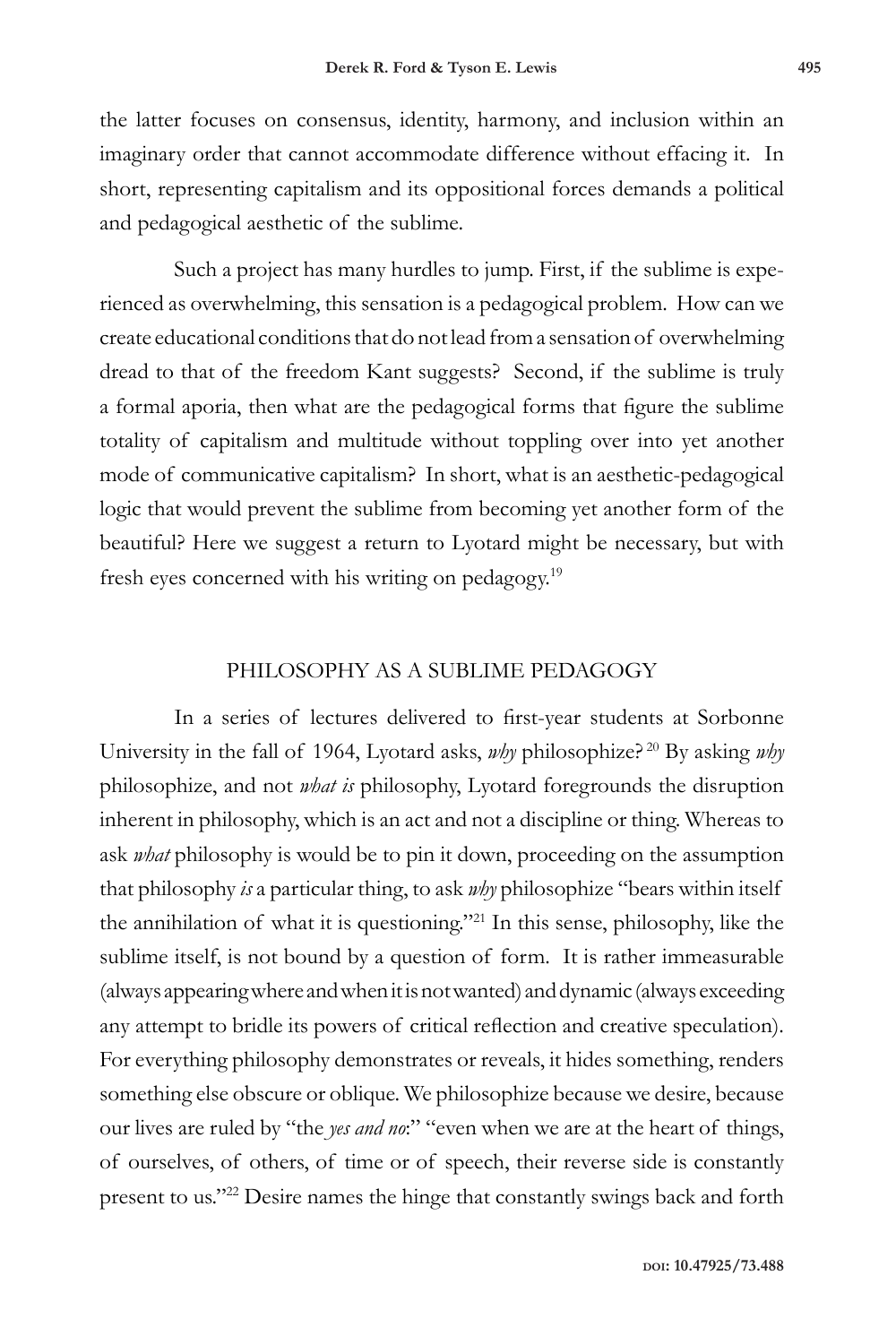the latter focuses on consensus, identity, harmony, and inclusion within an imaginary order that cannot accommodate difference without effacing it. In short, representing capitalism and its oppositional forces demands a political and pedagogical aesthetic of the sublime.

Such a project has many hurdles to jump. First, if the sublime is experienced as overwhelming, this sensation is a pedagogical problem. How can we create educational conditions that do not lead from a sensation of overwhelming dread to that of the freedom Kant suggests? Second, if the sublime is truly a formal aporia, then what are the pedagogical forms that figure the sublime totality of capitalism and multitude without toppling over into yet another mode of communicative capitalism? In short, what is an aesthetic-pedagogical logic that would prevent the sublime from becoming yet another form of the beautiful? Here we suggest a return to Lyotard might be necessary, but with fresh eyes concerned with his writing on pedagogy.19

# PHILOSOPHY AS A SUBLIME PEDAGOGY

In a series of lectures delivered to first-year students at Sorbonne University in the fall of 1964, Lyotard asks, *why* philosophize? 20 By asking *why* philosophize, and not *what is* philosophy, Lyotard foregrounds the disruption inherent in philosophy, which is an act and not a discipline or thing. Whereas to ask *what* philosophy is would be to pin it down, proceeding on the assumption that philosophy *is* a particular thing, to ask *why* philosophize "bears within itself the annihilation of what it is questioning."21 In this sense, philosophy, like the sublime itself, is not bound by a question of form. It is rather immeasurable (always appearing where and when it is not wanted) and dynamic (always exceeding any attempt to bridle its powers of critical reflection and creative speculation). For everything philosophy demonstrates or reveals, it hides something, renders something else obscure or oblique. We philosophize because we desire, because our lives are ruled by "the *yes and no*:" "even when we are at the heart of things, of ourselves, of others, of time or of speech, their reverse side is constantly present to us."22 Desire names the hinge that constantly swings back and forth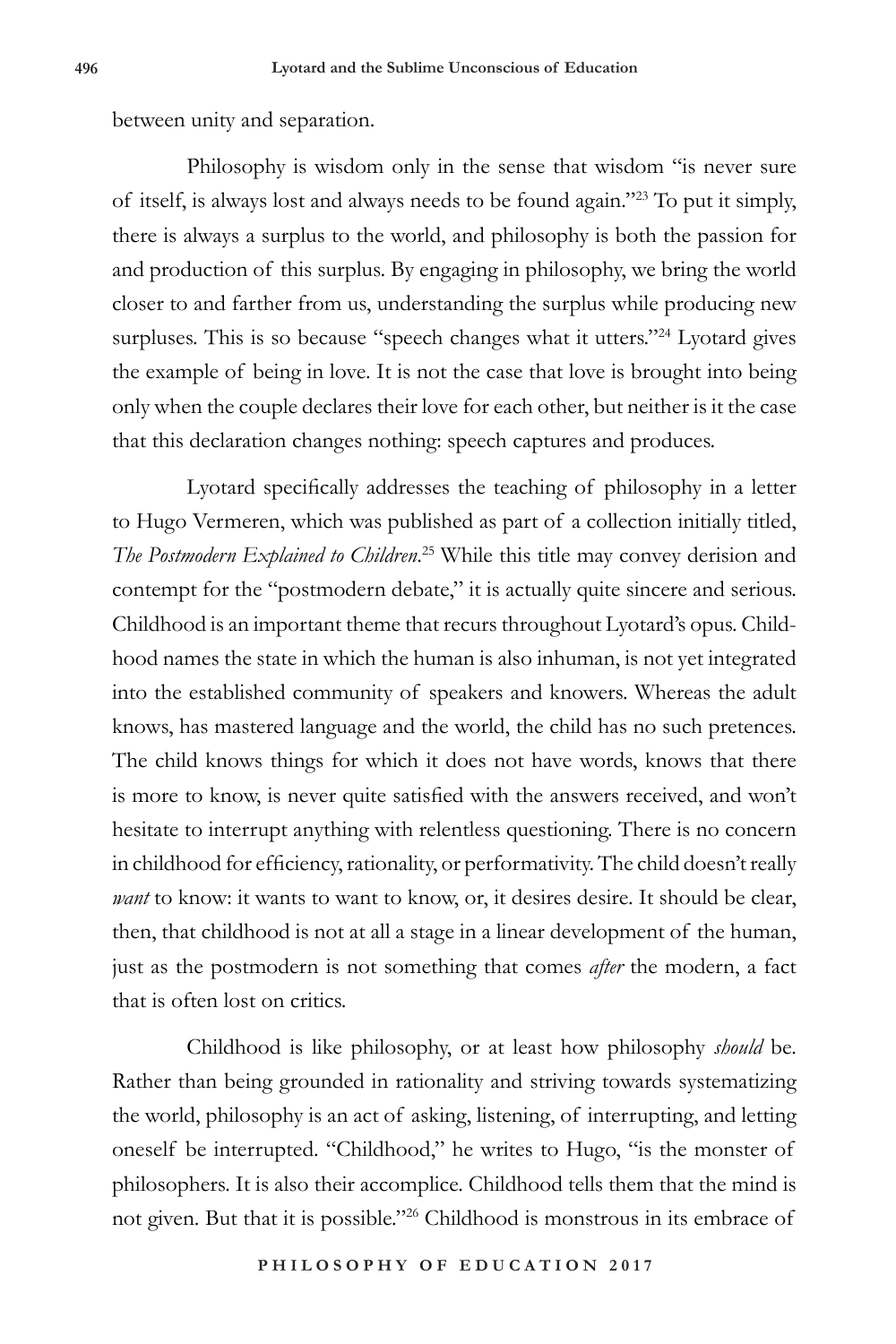between unity and separation.

Philosophy is wisdom only in the sense that wisdom "is never sure of itself, is always lost and always needs to be found again."23 To put it simply, there is always a surplus to the world, and philosophy is both the passion for and production of this surplus. By engaging in philosophy, we bring the world closer to and farther from us, understanding the surplus while producing new surpluses. This is so because "speech changes what it utters."<sup>24</sup> Lyotard gives the example of being in love. It is not the case that love is brought into being only when the couple declares their love for each other, but neither is it the case that this declaration changes nothing: speech captures and produces.

Lyotard specifically addresses the teaching of philosophy in a letter to Hugo Vermeren, which was published as part of a collection initially titled, *The Postmodern Explained to Children*. 25 While this title may convey derision and contempt for the "postmodern debate," it is actually quite sincere and serious. Childhood is an important theme that recurs throughout Lyotard's opus. Childhood names the state in which the human is also inhuman, is not yet integrated into the established community of speakers and knowers. Whereas the adult knows, has mastered language and the world, the child has no such pretences. The child knows things for which it does not have words, knows that there is more to know, is never quite satisfied with the answers received, and won't hesitate to interrupt anything with relentless questioning. There is no concern in childhood for efficiency, rationality, or performativity. The child doesn't really *want* to know: it wants to want to know, or, it desires desire. It should be clear, then, that childhood is not at all a stage in a linear development of the human, just as the postmodern is not something that comes *after* the modern, a fact that is often lost on critics.

Childhood is like philosophy, or at least how philosophy *should* be. Rather than being grounded in rationality and striving towards systematizing the world, philosophy is an act of asking, listening, of interrupting, and letting oneself be interrupted. "Childhood," he writes to Hugo, "is the monster of philosophers. It is also their accomplice. Childhood tells them that the mind is not given. But that it is possible."26 Childhood is monstrous in its embrace of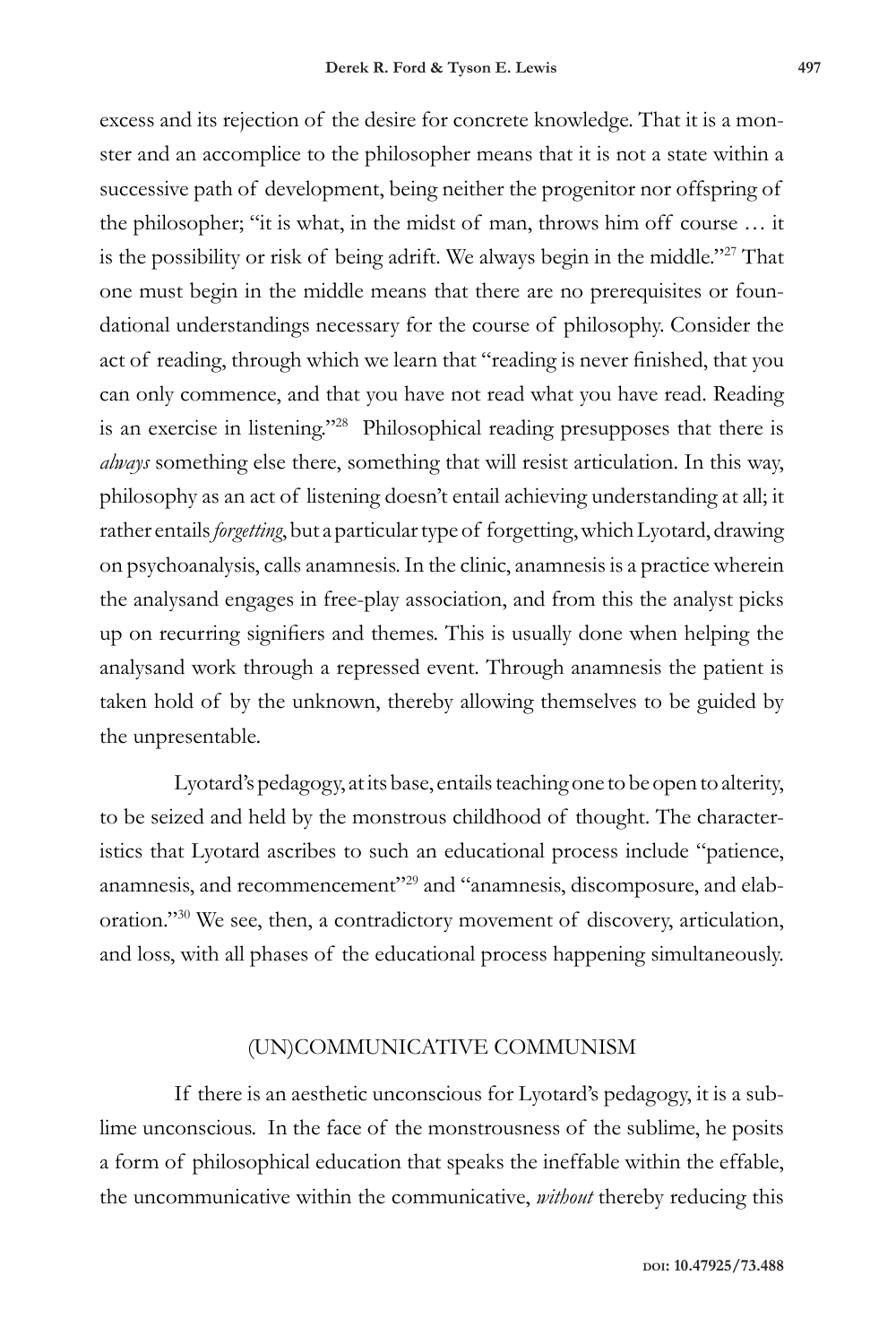excess and its rejection of the desire for concrete knowledge. That it is a monster and an accomplice to the philosopher means that it is not a state within a successive path of development, being neither the progenitor nor offspring of the philosopher; "it is what, in the midst of man, throws him off course … it is the possibility or risk of being adrift. We always begin in the middle."27 That one must begin in the middle means that there are no prerequisites or foundational understandings necessary for the course of philosophy. Consider the act of reading, through which we learn that "reading is never finished, that you can only commence, and that you have not read what you have read. Reading is an exercise in listening."28 Philosophical reading presupposes that there is *always* something else there, something that will resist articulation. In this way, philosophy as an act of listening doesn't entail achieving understanding at all; it rather entails *forgetting*, but a particular type of forgetting, which Lyotard, drawing on psychoanalysis, calls anamnesis. In the clinic, anamnesis is a practice wherein the analysand engages in free-play association, and from this the analyst picks up on recurring signifiers and themes. This is usually done when helping the analysand work through a repressed event. Through anamnesis the patient is taken hold of by the unknown, thereby allowing themselves to be guided by the unpresentable.

Lyotard's pedagogy, at its base, entails teaching one to be open to alterity, to be seized and held by the monstrous childhood of thought. The characteristics that Lyotard ascribes to such an educational process include "patience, anamnesis, and recommencement"<sup>29</sup> and "anamnesis, discomposure, and elaboration."30 We see, then, a contradictory movement of discovery, articulation, and loss, with all phases of the educational process happening simultaneously.

#### (UN)COMMUNICATIVE COMMUNISM

If there is an aesthetic unconscious for Lyotard's pedagogy, it is a sublime unconscious. In the face of the monstrousness of the sublime, he posits a form of philosophical education that speaks the ineffable within the effable, the uncommunicative within the communicative, *without* thereby reducing this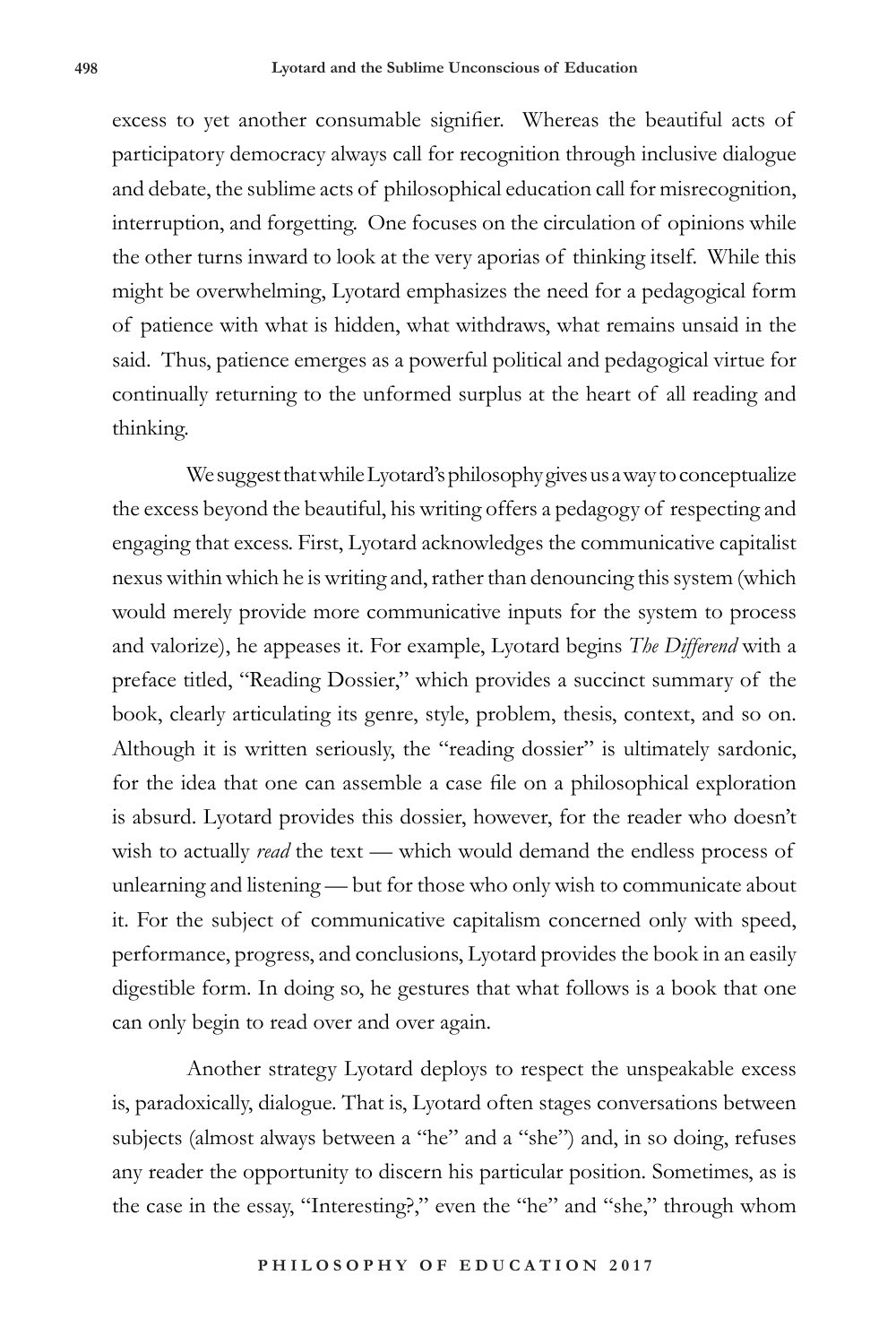excess to yet another consumable signifier. Whereas the beautiful acts of participatory democracy always call for recognition through inclusive dialogue and debate, the sublime acts of philosophical education call for misrecognition, interruption, and forgetting. One focuses on the circulation of opinions while the other turns inward to look at the very aporias of thinking itself. While this might be overwhelming, Lyotard emphasizes the need for a pedagogical form of patience with what is hidden, what withdraws, what remains unsaid in the said. Thus, patience emerges as a powerful political and pedagogical virtue for continually returning to the unformed surplus at the heart of all reading and thinking.

We suggest that while Lyotard's philosophy gives us a way to conceptualize the excess beyond the beautiful, his writing offers a pedagogy of respecting and engaging that excess. First, Lyotard acknowledges the communicative capitalist nexus within which he is writing and, rather than denouncing this system (which would merely provide more communicative inputs for the system to process and valorize), he appeases it. For example, Lyotard begins *The Differend* with a preface titled, "Reading Dossier," which provides a succinct summary of the book, clearly articulating its genre, style, problem, thesis, context, and so on. Although it is written seriously, the "reading dossier" is ultimately sardonic, for the idea that one can assemble a case file on a philosophical exploration is absurd. Lyotard provides this dossier, however, for the reader who doesn't wish to actually *read* the text — which would demand the endless process of unlearning and listening — but for those who only wish to communicate about it. For the subject of communicative capitalism concerned only with speed, performance, progress, and conclusions, Lyotard provides the book in an easily digestible form. In doing so, he gestures that what follows is a book that one can only begin to read over and over again.

Another strategy Lyotard deploys to respect the unspeakable excess is, paradoxically, dialogue. That is, Lyotard often stages conversations between subjects (almost always between a "he" and a "she") and, in so doing, refuses any reader the opportunity to discern his particular position. Sometimes, as is the case in the essay, "Interesting?," even the "he" and "she," through whom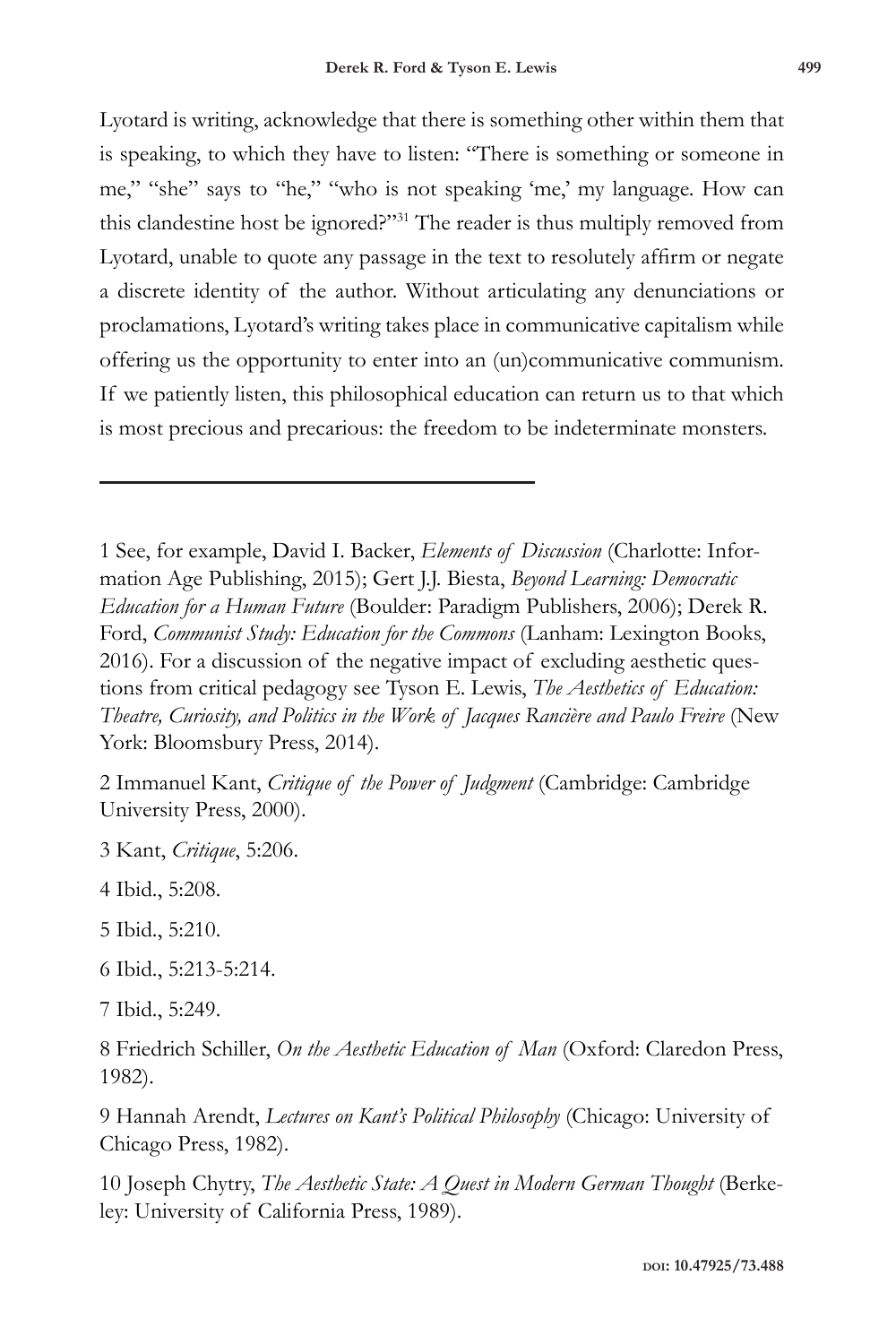Lyotard is writing, acknowledge that there is something other within them that is speaking, to which they have to listen: "There is something or someone in me," "she" says to "he," "who is not speaking 'me,' my language. How can this clandestine host be ignored?"31 The reader is thus multiply removed from Lyotard, unable to quote any passage in the text to resolutely affirm or negate a discrete identity of the author. Without articulating any denunciations or proclamations, Lyotard's writing takes place in communicative capitalism while offering us the opportunity to enter into an (un)communicative communism. If we patiently listen, this philosophical education can return us to that which is most precious and precarious: the freedom to be indeterminate monsters.

1 See, for example, David I. Backer, *Elements of Discussion* (Charlotte: Information Age Publishing, 2015); Gert J.J. Biesta, *Beyond Learning: Democratic Education for a Human Future* (Boulder: Paradigm Publishers, 2006); Derek R. Ford, *Communist Study: Education for the Commons* (Lanham: Lexington Books, 2016). For a discussion of the negative impact of excluding aesthetic questions from critical pedagogy see Tyson E. Lewis, *The Aesthetics of Education: Theatre, Curiosity, and Politics in the Work of Jacques Rancière and Paulo Freire* (New York: Bloomsbury Press, 2014).

2 Immanuel Kant, *Critique of the Power of Judgment* (Cambridge: Cambridge University Press, 2000).

3 Kant, *Critique*, 5:206.

4 Ibid., 5:208.

5 Ibid., 5:210.

6 Ibid., 5:213-5:214.

7 Ibid., 5:249.

8 Friedrich Schiller, *On the Aesthetic Education of Man* (Oxford: Claredon Press, 1982).

9 Hannah Arendt, *Lectures on Kant's Political Philosophy* (Chicago: University of Chicago Press, 1982).

10 Joseph Chytry, *The Aesthetic State: A Quest in Modern German Thought* (Berkeley: University of California Press, 1989).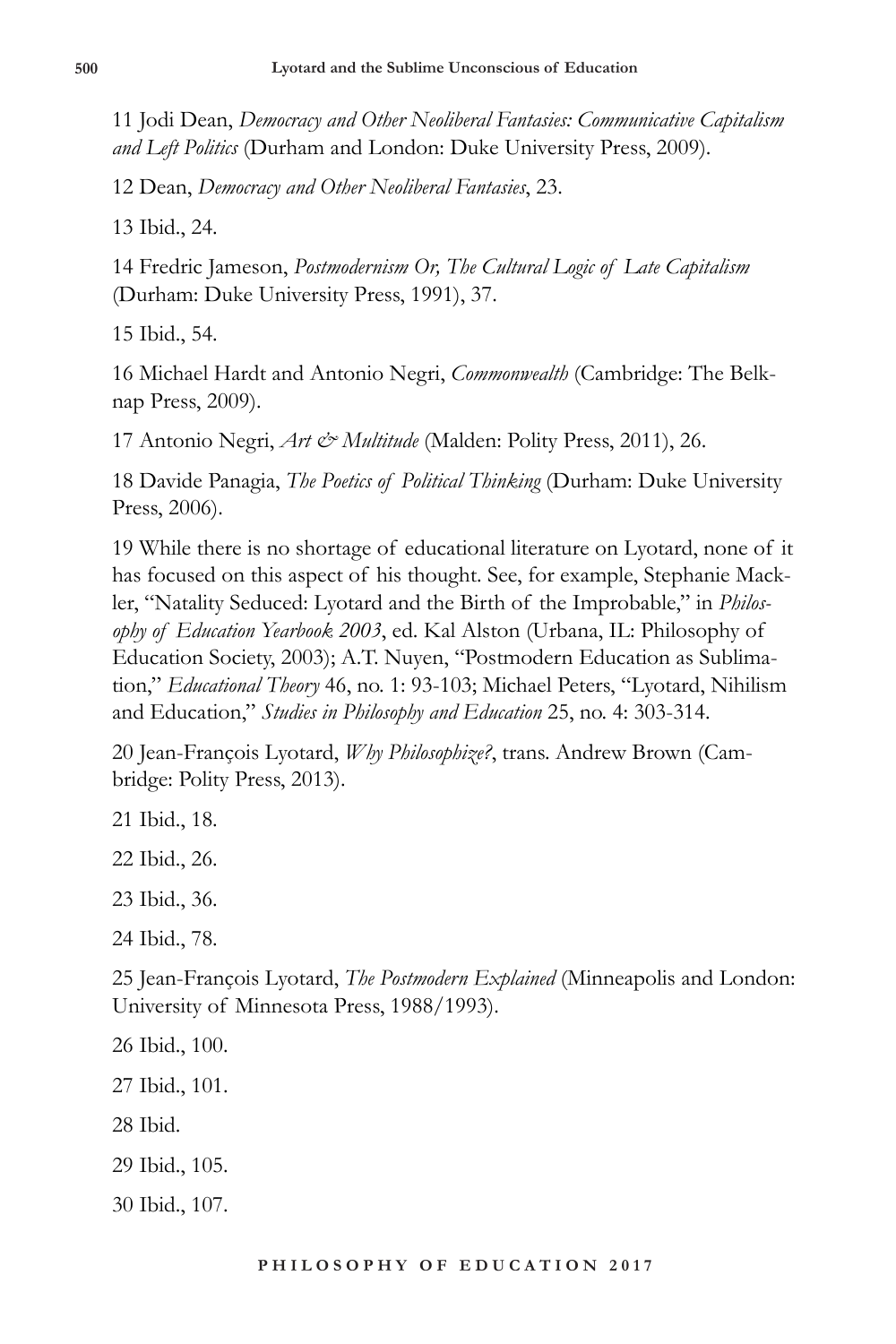11 Jodi Dean, *Democracy and Other Neoliberal Fantasies: Communicative Capitalism and Left Politics* (Durham and London: Duke University Press, 2009).

12 Dean, *Democracy and Other Neoliberal Fantasies*, 23.

13 Ibid., 24.

14 Fredric Jameson, *Postmodernism Or, The Cultural Logic of Late Capitalism* (Durham: Duke University Press, 1991), 37.

15 Ibid., 54.

16 Michael Hardt and Antonio Negri, *Commonwealth* (Cambridge: The Belknap Press, 2009).

17 Antonio Negri, *Art & Multitude* (Malden: Polity Press, 2011), 26.

18 Davide Panagia, *The Poetics of Political Thinking* (Durham: Duke University Press, 2006).

19 While there is no shortage of educational literature on Lyotard, none of it has focused on this aspect of his thought. See, for example, Stephanie Mackler, "Natality Seduced: Lyotard and the Birth of the Improbable," in *Philosophy of Education Yearbook 2003*, ed. Kal Alston (Urbana, IL: Philosophy of Education Society, 2003); A.T. Nuyen, "Postmodern Education as Sublimation," *Educational Theory* 46, no. 1: 93-103; Michael Peters, "Lyotard, Nihilism and Education," *Studies in Philosophy and Education* 25, no. 4: 303-314.

20 Jean-François Lyotard, *Why Philosophize?*, trans. Andrew Brown (Cambridge: Polity Press, 2013).

21 Ibid., 18.

22 Ibid., 26.

23 Ibid., 36.

24 Ibid., 78.

25 Jean-François Lyotard, *The Postmodern Explained* (Minneapolis and London: University of Minnesota Press, 1988/1993).

- 26 Ibid., 100.
- 27 Ibid., 101.
- 28 Ibid.
- 29 Ibid., 105.
- 30 Ibid., 107.